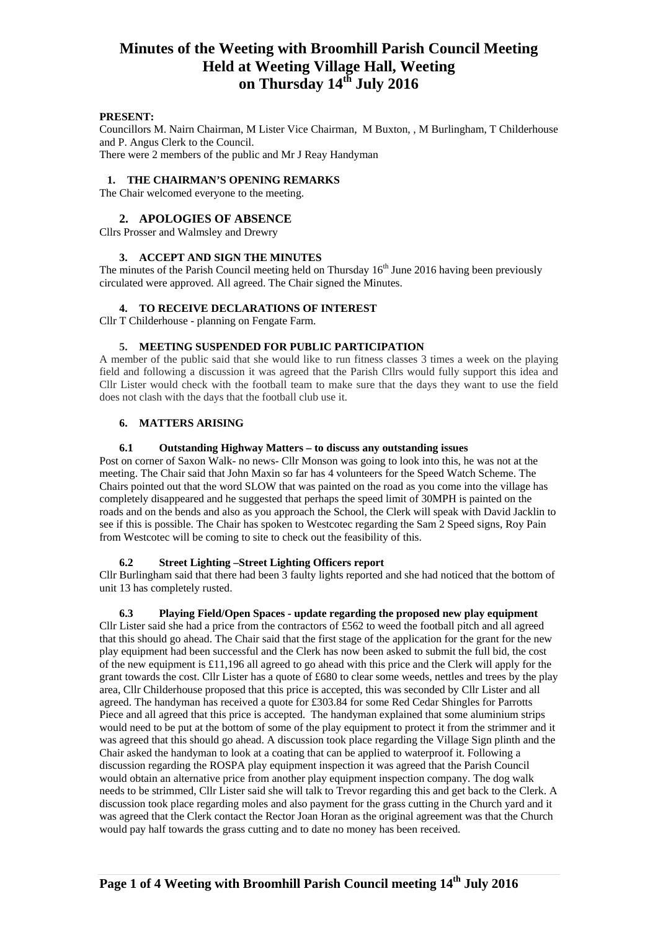### **PRESENT:**

Councillors M. Nairn Chairman, M Lister Vice Chairman, M Buxton, , M Burlingham, T Childerhouse and P. Angus Clerk to the Council. There were 2 members of the public and Mr J Reay Handyman

#### **1. THE CHAIRMAN'S OPENING REMARKS**

The Chair welcomed everyone to the meeting.

#### **2. APOLOGIES OF ABSENCE**

Cllrs Prosser and Walmsley and Drewry

#### **3. ACCEPT AND SIGN THE MINUTES**

The minutes of the Parish Council meeting held on Thursday  $16<sup>th</sup>$  June 2016 having been previously circulated were approved. All agreed. The Chair signed the Minutes.

#### **4. TO RECEIVE DECLARATIONS OF INTEREST**

Cllr T Childerhouse - planning on Fengate Farm.

# **5. MEETING SUSPENDED FOR PUBLIC PARTICIPATION**

A member of the public said that she would like to run fitness classes 3 times a week on the playing field and following a discussion it was agreed that the Parish Cllrs would fully support this idea and Cllr Lister would check with the football team to make sure that the days they want to use the field does not clash with the days that the football club use it.

#### **6. MATTERS ARISING**

#### **6.1 Outstanding Highway Matters – to discuss any outstanding issues**

Post on corner of Saxon Walk- no news- Cllr Monson was going to look into this, he was not at the meeting. The Chair said that John Maxin so far has 4 volunteers for the Speed Watch Scheme. The Chairs pointed out that the word SLOW that was painted on the road as you come into the village has completely disappeared and he suggested that perhaps the speed limit of 30MPH is painted on the roads and on the bends and also as you approach the School, the Clerk will speak with David Jacklin to see if this is possible. The Chair has spoken to Westcotec regarding the Sam 2 Speed signs, Roy Pain from Westcotec will be coming to site to check out the feasibility of this.

# **6.2 Street Lighting –Street Lighting Officers report**

Cllr Burlingham said that there had been 3 faulty lights reported and she had noticed that the bottom of unit 13 has completely rusted.

# **6.3 Playing Field/Open Spaces - update regarding the proposed new play equipment**

Cllr Lister said she had a price from the contractors of £562 to weed the football pitch and all agreed that this should go ahead. The Chair said that the first stage of the application for the grant for the new play equipment had been successful and the Clerk has now been asked to submit the full bid, the cost of the new equipment is £11,196 all agreed to go ahead with this price and the Clerk will apply for the grant towards the cost. Cllr Lister has a quote of £680 to clear some weeds, nettles and trees by the play area, Cllr Childerhouse proposed that this price is accepted, this was seconded by Cllr Lister and all agreed. The handyman has received a quote for £303.84 for some Red Cedar Shingles for Parrotts Piece and all agreed that this price is accepted. The handyman explained that some aluminium strips would need to be put at the bottom of some of the play equipment to protect it from the strimmer and it was agreed that this should go ahead. A discussion took place regarding the Village Sign plinth and the Chair asked the handyman to look at a coating that can be applied to waterproof it. Following a discussion regarding the ROSPA play equipment inspection it was agreed that the Parish Council would obtain an alternative price from another play equipment inspection company. The dog walk needs to be strimmed, Cllr Lister said she will talk to Trevor regarding this and get back to the Clerk. A discussion took place regarding moles and also payment for the grass cutting in the Church yard and it was agreed that the Clerk contact the Rector Joan Horan as the original agreement was that the Church would pay half towards the grass cutting and to date no money has been received.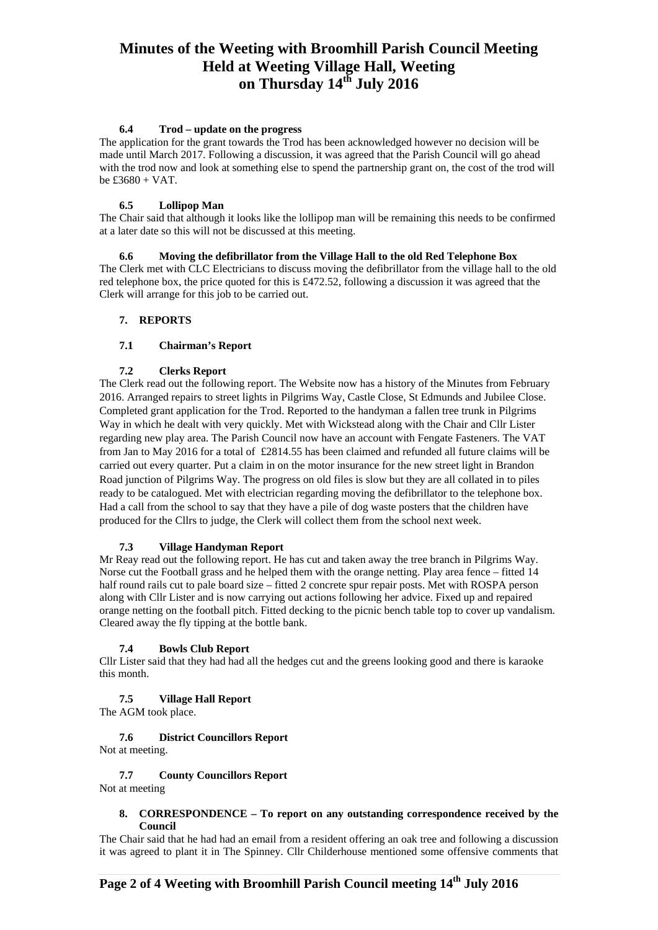#### **6.4 Trod – update on the progress**

The application for the grant towards the Trod has been acknowledged however no decision will be made until March 2017. Following a discussion, it was agreed that the Parish Council will go ahead with the trod now and look at something else to spend the partnership grant on, the cost of the trod will  $be \pounds 3680 + VAT$ .

# **6.5 Lollipop Man**

The Chair said that although it looks like the lollipop man will be remaining this needs to be confirmed at a later date so this will not be discussed at this meeting.

#### **6.6 Moving the defibrillator from the Village Hall to the old Red Telephone Box**  The Clerk met with CLC Electricians to discuss moving the defibrillator from the village hall to the old

red telephone box, the price quoted for this is £472.52, following a discussion it was agreed that the Clerk will arrange for this job to be carried out.

# **7. REPORTS**

### **7.1 Chairman's Report**

### **7.2 Clerks Report**

The Clerk read out the following report. The Website now has a history of the Minutes from February 2016. Arranged repairs to street lights in Pilgrims Way, Castle Close, St Edmunds and Jubilee Close. Completed grant application for the Trod. Reported to the handyman a fallen tree trunk in Pilgrims Way in which he dealt with very quickly. Met with Wickstead along with the Chair and Cllr Lister regarding new play area. The Parish Council now have an account with Fengate Fasteners. The VAT from Jan to May 2016 for a total of £2814.55 has been claimed and refunded all future claims will be carried out every quarter. Put a claim in on the motor insurance for the new street light in Brandon Road junction of Pilgrims Way. The progress on old files is slow but they are all collated in to piles ready to be catalogued. Met with electrician regarding moving the defibrillator to the telephone box. Had a call from the school to say that they have a pile of dog waste posters that the children have produced for the Cllrs to judge, the Clerk will collect them from the school next week.

#### **7.3 Village Handyman Report**

Mr Reay read out the following report. He has cut and taken away the tree branch in Pilgrims Way. Norse cut the Football grass and he helped them with the orange netting. Play area fence – fitted 14 half round rails cut to pale board size – fitted 2 concrete spur repair posts. Met with ROSPA person along with Cllr Lister and is now carrying out actions following her advice. Fixed up and repaired orange netting on the football pitch. Fitted decking to the picnic bench table top to cover up vandalism. Cleared away the fly tipping at the bottle bank.

# **7.4 Bowls Club Report**

Cllr Lister said that they had had all the hedges cut and the greens looking good and there is karaoke this month.

#### **7.5 Village Hall Report**

The AGM took place.

# **7.6 District Councillors Report**

Not at meeting.

# **7.7 County Councillors Report**

Not at meeting

#### **8. CORRESPONDENCE – To report on any outstanding correspondence received by the Council**

The Chair said that he had had an email from a resident offering an oak tree and following a discussion it was agreed to plant it in The Spinney. Cllr Childerhouse mentioned some offensive comments that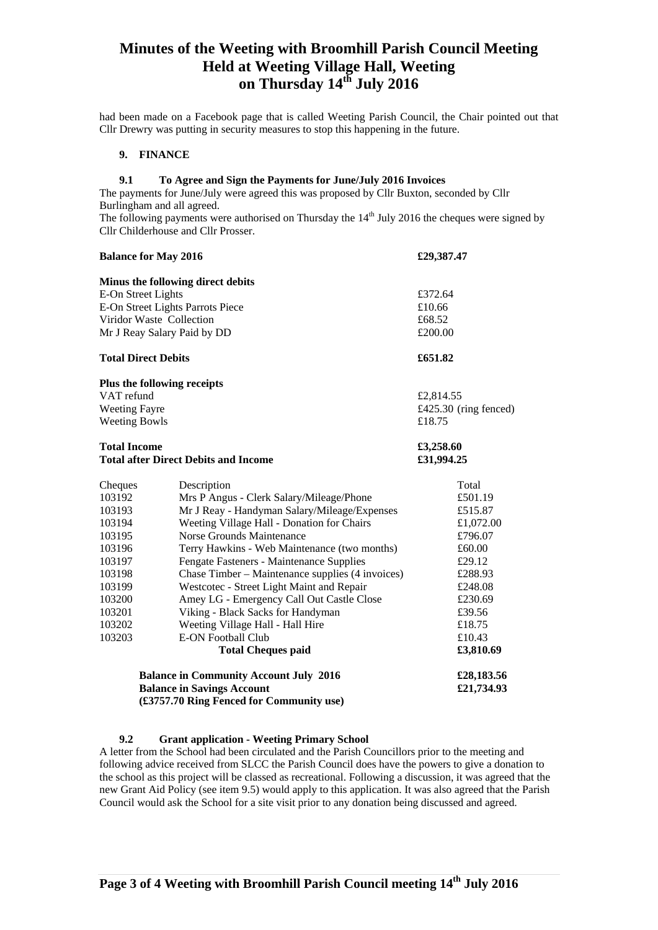had been made on a Facebook page that is called Weeting Parish Council, the Chair pointed out that Cllr Drewry was putting in security measures to stop this happening in the future.

### **9. FINANCE**

#### **9.1 To Agree and Sign the Payments for June/July 2016 Invoices**

The payments for June/July were agreed this was proposed by Cllr Buxton, seconded by Cllr Burlingham and all agreed.

The following payments were authorised on Thursday the  $14<sup>th</sup>$  July 2016 the cheques were signed by Cllr Childerhouse and Cllr Prosser.

| <b>Balance for May 2016</b>                                        |                                                  | £29,387.47              |  |
|--------------------------------------------------------------------|--------------------------------------------------|-------------------------|--|
|                                                                    | Minus the following direct debits                |                         |  |
| E-On Street Lights                                                 |                                                  | £372.64                 |  |
| E-On Street Lights Parrots Piece                                   |                                                  | £10.66                  |  |
| Viridor Waste Collection                                           |                                                  | £68.52                  |  |
| Mr J Reay Salary Paid by DD                                        |                                                  | £200.00                 |  |
| <b>Total Direct Debits</b>                                         |                                                  | £651.82                 |  |
|                                                                    | Plus the following receipts                      |                         |  |
| VAT refund                                                         |                                                  | £2,814.55               |  |
| <b>Weeting Fayre</b>                                               |                                                  | £425.30 (ring fenced)   |  |
| <b>Weeting Bowls</b>                                               |                                                  | £18.75                  |  |
| <b>Total Income</b><br><b>Total after Direct Debits and Income</b> |                                                  | £3,258.60<br>£31,994.25 |  |
| Cheques                                                            | Description                                      | Total                   |  |
| 103192                                                             | Mrs P Angus - Clerk Salary/Mileage/Phone         | £501.19                 |  |
| 103193                                                             | Mr J Reay - Handyman Salary/Mileage/Expenses     | £515.87                 |  |
| 103194                                                             | Weeting Village Hall - Donation for Chairs       | £1,072.00               |  |
| 103195                                                             | Norse Grounds Maintenance                        | £796.07                 |  |
| 103196                                                             | Terry Hawkins - Web Maintenance (two months)     | £60.00                  |  |
| 103197                                                             | Fengate Fasteners - Maintenance Supplies         | £29.12                  |  |
| 103198                                                             | Chase Timber – Maintenance supplies (4 invoices) | £288.93                 |  |
| 103199                                                             | Westcotec - Street Light Maint and Repair        | £248.08                 |  |
| 103200                                                             | Amey LG - Emergency Call Out Castle Close        | £230.69                 |  |
| 103201                                                             | Viking - Black Sacks for Handyman                | £39.56                  |  |
| 103202                                                             | Weeting Village Hall - Hall Hire                 | £18.75                  |  |
| 103203                                                             | <b>E-ON Football Club</b>                        | £10.43                  |  |
|                                                                    | <b>Total Cheques paid</b>                        | £3,810.69               |  |
| <b>Balance in Community Account July 2016</b>                      |                                                  | £28,183.56              |  |
|                                                                    | <b>Balance in Savings Account</b>                | £21,734.93              |  |
|                                                                    | (£3757.70 Ring Fenced for Community use)         |                         |  |

# **9.2 Grant application - Weeting Primary School**

A letter from the School had been circulated and the Parish Councillors prior to the meeting and following advice received from SLCC the Parish Council does have the powers to give a donation to the school as this project will be classed as recreational. Following a discussion, it was agreed that the new Grant Aid Policy (see item 9.5) would apply to this application. It was also agreed that the Parish Council would ask the School for a site visit prior to any donation being discussed and agreed.